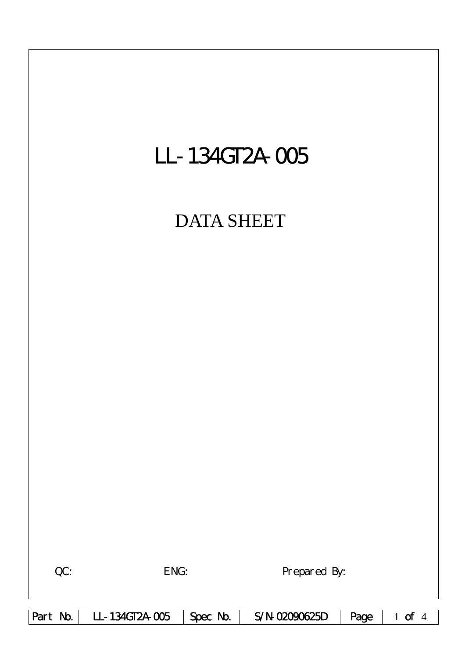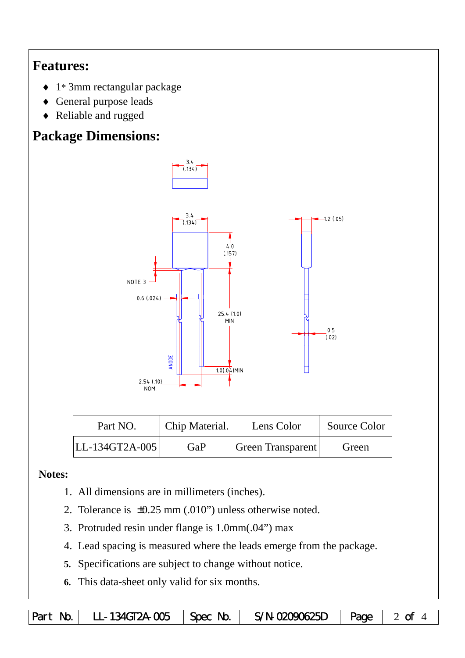## **Features:**

- ♦ 1\* 3mm rectangular package
- ♦ General purpose leads
- ♦ Reliable and rugged

# **Package Dimensions:**



| Part NO.          | Chip Material. | Lens Color        | Source Color |  |
|-------------------|----------------|-------------------|--------------|--|
| $ LL-134GT2A-005$ | GaP            | Green Transparent | Green        |  |

#### **Notes:**

- 1. All dimensions are in millimeters (inches).
- 2. Tolerance is ±0.25 mm (.010") unless otherwise noted.
- 3. Protruded resin under flange is 1.0mm(.04") max
- 4. Lead spacing is measured where the leads emerge from the package.
- **5.** Specifications are subject to change without notice.
- **6.** This data-sheet only valid for six months.

Part No. LL-134GT2A-005 Spec No. S/N-02090625D  $\sqrt{2}$  Page 2 of 4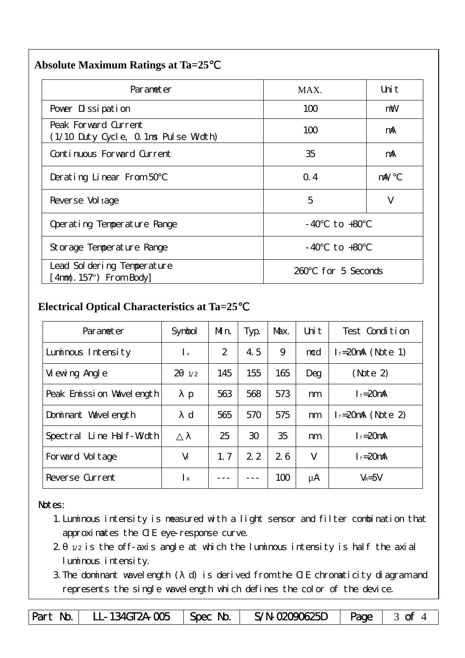#### **Absolute Maximum Ratings at Ta=25**℃

| Parameter                                                     | MAX.                 | Uni t |  |  |
|---------------------------------------------------------------|----------------------|-------|--|--|
| Pover Dissipation                                             | 100                  | mW    |  |  |
| Peak Forward Current<br>(1/10 Duty Cycle, 0.1ms Pulse Width)  | 100                  | mA    |  |  |
| Continuous Forward Current                                    | 35                   | mA    |  |  |
| Derating Linear From 50                                       | Q.4                  | mA/   |  |  |
| Reverse Vol tage                                              | 5                    | V     |  |  |
| Operating Temperature Range                                   | to $+80$<br>- 40     |       |  |  |
| Storage Temperature Range                                     | to +80<br>- 40       |       |  |  |
| Lead Sol dering Temperature<br>$[4 \text{nm}(.157)$ From Body | for 5 Seconds<br>260 |       |  |  |

### **Electrical Optical Characteristics at Ta=25**℃

| Parameter                   | Symbol               | Mn. | Typ. | Max. | Uni t | Test Condition         |
|-----------------------------|----------------------|-----|------|------|-------|------------------------|
| Luminous Intensity          | $\mathsf{I}$ v       | 2   | 4.5  | 9    | mcd   | $f = 20$ mA (Note 1)   |
| Vi ewing Angl e             | $\mathcal{P}$<br>1/2 | 145 | 155  | 165  | Deg   | (Note 2)               |
| Peak Emission Wavelength    | $\mathbf{p}$         | 563 | 568  | 573  | nm    | $I_f = 20$ mA          |
| Dominant Wavelength         | d                    | 565 | 570  | 575  | nm    | $l_f = 20$ mA (Note 2) |
| Line Half-Width<br>Spectral |                      | 25  | 30   | 35   | nm    | $I_f = 20$ mA          |
| Forward Voltage             | $V_f$                | 1.7 | 2.2  | 26   | V     | $I_{f} = 20$ mA        |
| Reverse Current             | $\mathsf{I}$ R       |     |      | 100  | μA    | $V_R = 5V$             |

#### Notes:

- 1.Luminous intensity is measured with a light sensor and filter combination that approximates the CIE eye-response curve.
- 2. 1/2 is the off-axis angle at which the luminous intensity is half the axial luminous intensity.
- 3.The dominant wavelength ( d) is derived from the CIE chromaticity diagram and represents the single wavelength which defines the color of the device.

Part No. | LL-134GT2A-005 | Spec No. | S/N-02090625D | Page | 3 of 4